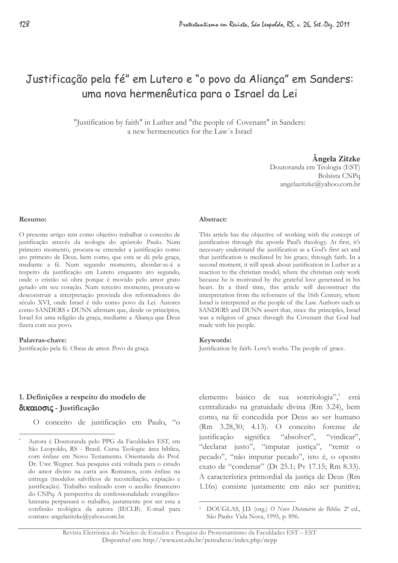# Justificação pela fé" em Lutero e "o povo da Aliança" em Sanders: uma nova hermenêutica para o Israel da Lei

"Justification by faith" in Luther and "the people of Covenant" in Sanders: a new hermeneutics for the Law's Israel

### Ângela Zitzke

Doutoranda em Teologia (EST) Bolsista CNPq angelazitzke@yahoo.com.br

#### Resumo:

O presente artigo tem como objetivo trabalhar o conceito de justificação através da teologia do apóstolo Paulo. Num primeiro momento, procura-se entender a justificação como ato primeiro de Deus, bem como, que esta se dá pela graça, mediante a fé. Num segundo momento, abordar-se-á a respeito da justificação em Lutero enquanto ato segundo, onde o cristão só obra porque é movido pelo amor grato gerado em seu coração. Num terceiro momento, procura-se desconstruir a interpretação provinda dos reformadores do século XVI, onde Israel é tido como povo da Lei. Autores como SANDERS e DUNN afirmam que, desde os princípios, Israel foi uma religião da graça, mediante a Aliança que Deus fizera com seu povo.

### Palavras-chave:

Justificação pela fé. Obras de amor. Povo da graça.

#### Abstract:

This article has the objective of working with the concept of justification through the apostle Paul's theology. At first, it's necessary understand the justification as a God's first act and that justification is mediated by his grace, through faith. In a second moment, it will speak about justification in Luther as a reaction to the christian model, where the christian only work because he is motivated by the grateful love generated in his heart. In a third time, this article will deconstruct the interpretation from the reformers of the 16th Century, where Israel is interpreted as the people of the Law. Authors such as SANDERS and DUNN assert that, since the principles, Israel was a religion of grace through the Covenant that God had made with his people.

### Keywords:

Justification by faith. Love's works. The people of grace.

# 1. Definições a respeito do modelo de δικαιοσις - Justificação

O conceito de justificação em Paulo, "o

elemento básico de sua soteriologia", está centralizado na gratuidade divina (Rm 3.24), bem como, na fé concedida por Deus ao ser humano (Rm 3.28,30; 4.13). O conceito forense de justificação significa "absolver". "vindicar". "declarar justo", "imputar justiça", "remir o pecado", "não imputar pecado", isto é, o oposto exato de "condenar" (Dt 25.1; Pv 17.15; Rm 8.33). A característica primordial da justica de Deus (Rm 1.16s) consiste justamente em não ser punitiva;

Autora é Doutoranda pelo PPG da Faculdades EST, em São Leopoldo, RS - Brasil. Cursa Teologia: área bíblica, com ênfase em Novo Testamento. Orientanda do Prof. Dr. Uwe Wegner. Sua pesquisa está voltada para o estudo do amor divino na carta aos Romanos, com ênfase na entrega (modelos salvíficos de reconciliação, expiação e justificação). Trabalho realizado com o auxílio financeiro do CNPq. A perspectiva de confessionalidade evangélicoluterana perpassará o trabalho, justamente por ser esta a confissão teológica da autora (IECLB). E-mail para contato: angelazitzke@yahoo.com.br.

DOUGLAS, J.D. (org.) O Novo Dicionário da Bíblia. 2ª ed., São Paulo: Vida Nova, 1995, p. 896.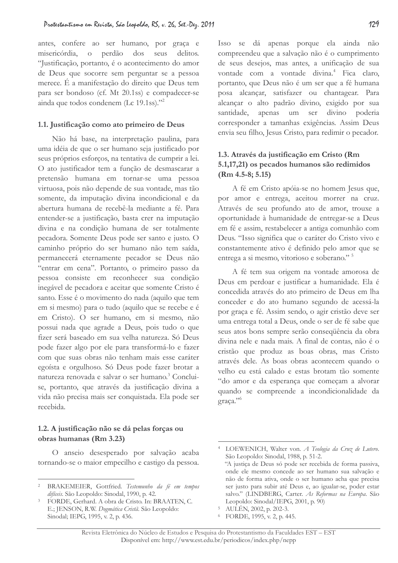antes, confere ao ser humano, por graça e misericórdia, o perdão dos seus delitos. "Justificação, portanto, é o acontecimento do amor de Deus que socorre sem perguntar se a pessoa merece. É a manifestação do direito que Deus tem para ser bondoso (cf. Mt 20.1ss) e compadecer-se ainda que todos condenem (Lc 19.1ss)."<sup>2</sup>

### 1.1. Justificação como ato primeiro de Deus

Não há base, na interpretação paulina, para uma idéia de que o ser humano seja justificado por seus próprios esforços, na tentativa de cumprir a lei. O ato justificador tem a função de desmascarar a pretensão humana em tornar-se uma pessoa virtuosa, pois não depende de sua vontade, mas tão somente, da imputação divina incondicional e da abertura humana de recebê-la mediante a fé. Para entender-se a justificação, basta crer na imputação divina e na condição humana de ser totalmente pecadora. Somente Deus pode ser santo e justo. O caminho próprio do ser humano não tem saída, permanecerá eternamente pecador se Deus não "entrar em cena". Portanto, o primeiro passo da pessoa consiste em reconhecer sua condição inegável de pecadora e aceitar que somente Cristo é santo. Esse é o movimento do nada (aquilo que tem em si mesmo) para o tudo (aquilo que se recebe e é em Cristo). O ser humano, em si mesmo, não possui nada que agrade a Deus, pois tudo o que fizer será baseado em sua velha natureza. Só Deus pode fazer algo por ele para transformá-lo e fazer com que suas obras não tenham mais esse caráter egoísta e orgulhoso. Só Deus pode fazer brotar a natureza renovada e salvar o ser humano.<sup>3</sup> Concluise, portanto, que através da justificação divina a vida não precisa mais ser conquistada. Ela pode ser recebida.

# 1.2. A justificação não se dá pelas forças ou obras humanas (Rm 3.23)

O anseio desesperado por salvação acaba tornando-se o maior empecilho e castigo da pessoa.

Isso se dá apenas porque ela ainda não compreendeu que a salvação não é o cumprimento de seus desejos, mas antes, a unificação de sua vontade com a vontade divina.<sup>4</sup> Fica claro, portanto, que Deus não é um ser que a fé humana posa alcançar, satisfazer ou chantagear. Para alcançar o alto padrão divino, exigido por sua santidade, apenas um ser divino poderia corresponder a tamanhas exigências. Assim Deus envia seu filho, Jesus Cristo, para redimir o pecador.

# 1.3. Através da justificação em Cristo (Rm 5.1,17,21) os pecados humanos são redimidos  $(Rm 4.5-8; 5.15)$

A fé em Cristo apóia-se no homem Jesus que, por amor e entrega, aceitou morrer na cruz. Através de seu profundo ato de amor, trouxe a oportunidade à humanidade de entregar-se a Deus em fé e assim, restabelecer a antiga comunhão com Deus. "Isso significa que o caráter do Cristo vivo e constantemente ativo é definido pelo amor que se entrega a si mesmo, vitorioso e soberano."<sup>5</sup>

A fé tem sua origem na vontade amorosa de Deus em perdoar e justificar a humanidade. Ela é concedida através do ato primeiro de Deus em lha conceder e do ato humano segundo de acessá-la por graça e fé. Assim sendo, o agir cristão deve ser uma entrega total a Deus, onde o ser de fé sabe que seus atos bons sempre serão consequência da obra divina nele e nada mais. A final de contas, não é o cristão que produz as boas obras, mas Cristo através dele. As boas obras acontecem quando o velho eu está calado e estas brotam tão somente "do amor e da esperança que começam a alvorar quando se compreende a incondicionalidade da graca."

BRAKEMEIER, Gottfried. Testemunho da fé em tempos difíceis. São Leopoldo: Sinodal, 1990, p. 42.

FORDE, Gerhard. A obra de Cristo. In: BRAATEN, C. E.; JENSON, R.W. Dogmática Cristã. São Leopoldo: Sinodal; IEPG, 1995, v. 2, p. 436.

<sup>&</sup>lt;sup>4</sup> LOEWENICH, Walter von. A Teologia da Cruz de Lutero. São Leopoldo: Sinodal, 1988, p. 51-2. "A justica de Deus só pode ser recebida de forma passiva, onde ele mesmo concede ao ser humano sua salvação e não de forma ativa, onde o ser humano acha que precisa ser justo para subir até Deus e, ao igualar-se, poder estar salvo." (LINDBERG, Carter. As Reformas na Europa. São Leopoldo: Sinodal/IEPG, 2001, p. 90)

<sup>&</sup>lt;sup>5</sup> AULÉN, 2002, p. 202-3.

<sup>&</sup>lt;sup>6</sup> FORDE, 1995, v. 2, p. 445.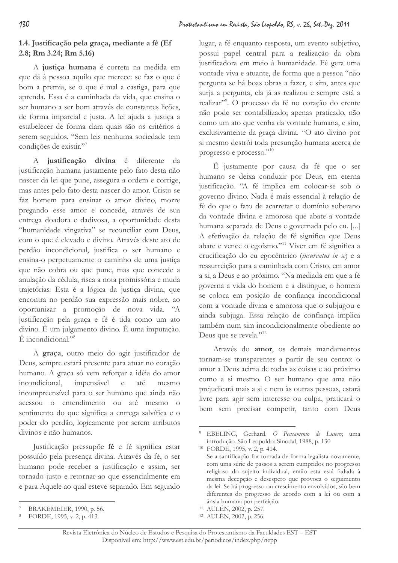# 1.4. Justificação pela graça, mediante a fé (Ef 2.8; Rm 3.24; Rm 5.16)

A justiça humana é correta na medida em que dá à pessoa aquilo que merece: se faz o que é bom a premia, se o que é mal a castiga, para que aprenda. Essa é a caminhada da vida, que ensina o ser humano a ser bom através de constantes lições, de forma imparcial e justa. A lei ajuda a justiça a estabelecer de forma clara quais são os critérios a serem seguidos. "Sem leis nenhuma sociedade tem condições de existir."7

A justificação divina é diferente da justificação humana justamente pelo fato desta não nascer da lei que pune, assegura a ordem e corrige, mas antes pelo fato desta nascer do amor. Cristo se faz homem para ensinar o amor divino, morre pregando esse amor e concede, através de sua entrega doadora e dadivosa, a oportunidade desta "humanidade vingativa" se reconciliar com Deus, com o que é elevado e divino. Através deste ato de perdão incondicional, justifica o ser humano e ensina-o perpetuamente o caminho de uma justiça que não cobra ou que pune, mas que concede a anulação da cédula, risca a nota promissória e muda trajetórias. Esta é a lógica da justica divina, que encontra no perdão sua expressão mais nobre, ao oportunizar a promoção de nova vida. "A justificação pela graça e fé é tida como um ato divino. É um julgamento divino. É uma imputação.  $E$  incondicional."<sup>8</sup>

A graça, outro meio do agir justificador de Deus, sempre estará presente para atuar no coração humano. A graça só vem reforçar a idéia do amor incondicional, impensável  $e$ até mesmo incompreensível para o ser humano que ainda não acessou o entendimento ou até mesmo o sentimento do que significa a entrega salvífica e o poder do perdão, logicamente por serem atributos divinos e não humanos.

Justificação pressupõe fé e fé significa estar possuído pela presença divina. Através da fé, o ser humano pode receber a justificação e assim, ser tornado justo e retornar ao que essencialmente era e para Aquele ao qual esteve separado. Em segundo

lugar, a fé enquanto resposta, um evento subjetivo, possui papel central para a realização da obra justificadora em meio à humanidade. Fé gera uma vontade viva e atuante, de forma que a pessoa "não pergunta se há boas obras a fazer, e sim, antes que surja a pergunta, ela já as realizou e sempre está a realizar"<sup>9</sup>. O processo da fé no coração do crente não pode ser contabilizado; apenas praticado, não como um ato que venha da vontade humana, e sim, exclusivamente da graça divina. "O ato divino por si mesmo destrói toda presunção humana acerca de progresso e processo."10

É justamente por causa da fé que o ser humano se deixa conduzir por Deus, em eterna justificação. "A fé implica em colocar-se sob o governo divino. Nada é mais essencial à relação de fé do que o fato de acarretar o domínio soberano da vontade divina e amorosa que abate a vontade humana separada de Deus e governada pelo eu. [...] A efetivação da relação de fé significa que Deus abate e vence o egoísmo."<sup>11</sup> Viver em fé significa a crucificação do eu egocêntrico (incurvatus in se) e a ressurreição para a caminhada com Cristo, em amor a si, a Deus e ao próximo. "Na mediada em que a fé governa a vida do homem e a distingue, o homem se coloca em posição de confiança incondicional com a vontade divina e amorosa que o subjugou e ainda subjuga. Essa relação de confiança implica também num sim incondicionalmente obediente ao Deus que se revela."<sup>12</sup>

Através do amor, os demais mandamentos tornam-se transparentes a partir de seu centro: o amor a Deus acima de todas as coisas e ao próximo como a si mesmo. O ser humano que ama não prejudicará mais a si e nem às outras pessoas, estará livre para agir sem interesse ou culpa, praticará o bem sem precisar competir, tanto com Deus

BRAKEMEIER, 1990, p. 56.

FORDE, 1995, v. 2, p. 413.

<sup>&</sup>lt;sup>9</sup> EBELING, Gerhard. O Pensamento de Lutero; uma introdução. São Leopoldo: Sinodal, 1988, p. 130

<sup>&</sup>lt;sup>10</sup> FORDE, 1995, v. 2, p. 414. Se a santificação for tomada de forma legalista novamente, com uma série de passos a serem cumpridos no progresso religioso do sujeito individual, então esta está fadada à mesma decepção e desespero que provoca o seguimento da lei. Se há progresso ou crescimento envolvidos, são bem diferentes do progresso de acordo com a lei ou com a ânsia humana por perfeição.

<sup>&</sup>lt;sup>11</sup> AULÉN, 2002, p. 257.

<sup>&</sup>lt;sup>12</sup> AULÉN, 2002, p. 256.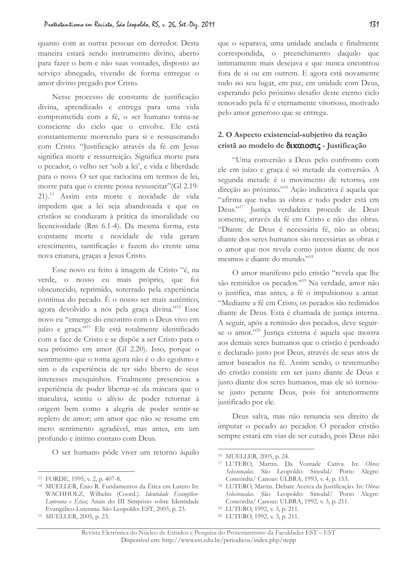quanto com as outras pessoas em derredor. Desta maneira estará sendo instrumento divino, aberto para fazer o bem e não suas vontades, disposto ao serviço abnegado, vivendo de forma entregue o amor divino pregado por Cristo.

Nesse processo de constante de justificação divina, aprendizado e entrega para uma vida comprometida com a fé, o ser humano torna-se consciente do ciclo que o envolve. Ele está constantemente morrendo para si e ressuscitando com Cristo. "Justificação através da fé em Jesus significa morte e ressurreição. Significa morte para o pecador, o velho ser 'sob a lei', e vida e liberdade para o novo. O ser que raciocina em termos de lei, morre para que o crente possa ressuscitar" (Gl 2.19-21).<sup>13</sup> Assim esta morte e novidade de vida impedem que a lei seja abandonada e que os cristãos se conduzam à prática da imoralidade ou licenciosidade (Rm 6.1-4). Da mesma forma, esta constante morte e novidade de vida geram crescimento, santificação e fazem do crente uma nova criatura, graças a Jesus Cristo.

Esse novo eu feito à imagem de Cristo "é, na verde, o nosso eu mais próprio, que foi obscurecido, reprimido, soterrado pela experiência contínua do pecado. É o nosso ser mais autêntico, agora devolvido a nós pela graça divina."<sup>14</sup> Esse novo eu "emerge do encontro com o Deus vivo em juízo e graça."<sup>15</sup> Ele está totalmente identificado com a face de Cristo e se dispõe a ser Cristo para o seu próximo em amor (Gl 2.20). Isso, porque o sentimento que o toma agora não é o do egoísmo e sim o da experiência de ter sido liberto de seus interesses mesquinhos. Finalmente presenciou a experiência de poder libertar-se da máscara que o maculava, sentiu o alívio de poder retornar à origem bem como a alegria de poder sentir-se repleto de amor; um amor que não se resume em mero sentimento agradável, mas antes, em um profundo e íntimo contato com Deus.

O ser humano pôde viver um retorno àquilo

que o separava, uma unidade anelada e finalmente correspondida, o preenchimento daquilo que intimamente mais desejava e que nunca encontrou fora de si ou em outrem. E agora está novamente tudo no seu lugar, em paz, em unidade com Deus, esperando pelo próximo desafio deste eterno ciclo renovado pela fé e eternamente vitorioso, motivado pelo amor generoso que se entrega.

# 2. O Aspecto existencial-subjetivo da reação cristã ao modelo de δικαιοσις - Justificação

"Uma conversão a Deus pelo confronto com ele em juízo e graça é só metade da conversão. A segunda metade é o movimento de retorno, em direção ao próximo."<sup>16</sup> Ação indicativa é aquela que "afirma que todas as obras e todo poder está em Deus."<sup>17</sup> Justiça verdadeira procede de Deus somente, através da fé em Cristo e não das obras. "Diante de Deus é necessária fé, não as obras; diante dos seres humanos são necessárias as obras e o amor que nos revela como justos diante de nos mesmos e diante do mundo."18

O amor manifesto pelo cristão "revela que lhe são remitidos os pecados."<sup>19</sup> Na verdade, amor não o justifica, mas antes, a fé o impulsionou a amar. "Mediante a fé em Cristo, os pecados são redimidos diante de Deus. Esta é chamada de justica interna. A seguir, após a remissão dos pecados, deve seguirse o amor."<sup>20</sup> Justiça externa é aquela que mostra aos demais seres humanos que o cristão é perdoado e declarado justo por Deus, através de seus atos de amor baseados na fé. Assim sendo, o testemunho do cristão consiste em ser justo diante de Deus e justo diante dos seres humanos, mas ele só tornouse justo perante Deus, pois foi anteriormente justificado por ele.

Deus salva, mas não renuncia seu direito de imputar o pecado ao pecador. O pecador cristão sempre estará em vias de ser curado, pois Deus não

- <sup>19</sup> LUTERO, 1992, v. 3, p. 211.
- <sup>20</sup> LUTERO, 1992, v. 3, p. 211.

<sup>&</sup>lt;sup>13</sup> FORDE, 1995, v. 2, p. 407-8.

<sup>&</sup>lt;sup>14</sup> MUELLER, Ênio R. Fundamentos da Ética em Lutero In: WACHHOLZ, Wilhelm (Coord.). Identidade Evangélico-Luterana e Ética, Anais do III Simpósio sobre Identidade Evangélico-Luterana. São Leopoldo: EST, 2005, p. 23.

<sup>&</sup>lt;sup>15</sup> MUELLER, 2005, p. 23.

<sup>&</sup>lt;sup>16</sup> MUELLER, 2005, p. 24.

<sup>&</sup>lt;sup>17</sup> LUTERO, Martin. Da Vontade Cativa. In: Obras Selecionadas. São Leopoldo: Sinodal/ Porto Alegre: Concórdia/ Canoas: ULBRA, 1993, v. 4, p. 153.

<sup>&</sup>lt;sup>18</sup> LUTERO, Martin. Debate Acerca da Justificação. In: Obras Selecionadas. São Leopoldo: Sinodal/ Porto Alegre: Concórdia/ Canoas: ULBRA, 1992, v. 3, p. 211.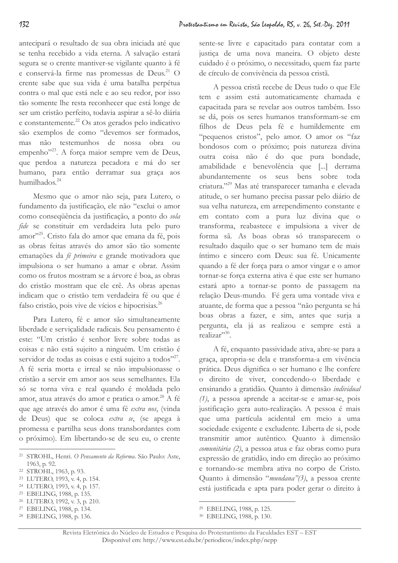antecipará o resultado de sua obra iniciada até que se tenha recebido a vida eterna. A salvação estará segura se o crente mantiver-se vigilante quanto à fé e conservá-la firme nas promessas de Deus.<sup>21</sup> O crente sabe que sua vida é uma batalha perpétua contra o mal que está nele e ao seu redor, por isso tão somente lhe resta reconhecer que está longe de ser um cristão perfeito, todavia aspirar a sê-lo diária e constantemente.<sup>22</sup> Os atos gerados pelo indicativo são exemplos de como "devemos ser formados, mas não testemunhos de nossa obra ou empenho"<sup>23</sup>. A força maior sempre vem de Deus, que perdoa a natureza pecadora e má do ser humano, para então derramar sua graça aos humilhados.<sup>24</sup>

Mesmo que o amor não seja, para Lutero, o fundamento da justificação, ele não "exclui o amor como consequência da justificação, a ponto do sola fide se constituir em verdadeira luta pelo puro amor<sup>225</sup>. Cristo fala do amor que emana da fé, pois as obras feitas através do amor são tão somente emanações da fé primeira e grande motivadora que impulsiona o ser humano a amar e obrar. Assim como os frutos mostram se a árvore é boa, as obras do cristão mostram que ele crê. As obras apenas indicam que o cristão tem verdadeira fé ou que é falso cristão, pois vive de vícios e hipocrisias.<sup>26</sup>

Para Lutero, fé e amor são simultaneamente liberdade e serviçalidade radicais. Seu pensamento é este: "Um cristão é senhor livre sobre todas as coisas e não está sujeito a ninguém. Um cristão é servidor de todas as coisas e está sujeito a todos"27. A fé seria morta e irreal se não impulsionasse o cristão a servir em amor aos seus semelhantes. Ela só se torna viva e real quando é moldada pelo amor, atua através do amor e pratica o amor.<sup>28</sup> A fé que age através do amor é uma fé extra nos, (vinda de Deus) que se coloca extra se, (se apega à promessa e partilha seus dons transbordantes com o próximo). Em libertando-se de seu eu, o crente

- <sup>23</sup> LUTERO, 1993, v. 4, p. 154.
- <sup>24</sup> LUTERO, 1993, v. 4, p. 157.
- <sup>25</sup> EBELING, 1988, p. 135.
- <sup>26</sup> LUTERO, 1992, v. 3, p. 210.
- <sup>27</sup> EBELING, 1988, p. 134.
- <sup>28</sup> EBELING, 1988, p. 136.

sente-se livre e capacitado para contatar com a justiça de uma nova maneira. O objeto deste cuidado é o próximo, o necessitado, quem faz parte de círculo de convivência da pessoa cristã.

A pessoa cristã recebe de Deus tudo o que Ele tem e assim está automaticamente chamada e capacitada para se revelar aos outros também. Isso se dá, pois os seres humanos transformam-se em filhos de Deus pela fé e humildemente em "pequenos cristos", pelo amor. O amor os "faz bondosos com o próximo; pois natureza divina outra coisa não é do que pura bondade, amabilidade e benevolência que [...] derrama abundantemente os seus bens sobre toda criatura."<sup>29</sup> Mas até transparecer tamanha e elevada atitude, o ser humano precisa passar pelo diário de sua velha natureza, em arrependimento constante e em contato com a pura luz divina que o transforma, reabastece e impulsiona a viver de forma sã. As boas obras só transparecem o resultado daquilo que o ser humano tem de mais íntimo e sincero com Deus: sua fé. Unicamente quando a fé der força para o amor vingar e o amor tornar-se força externa ativa é que este ser humano estará apto a tornar-se ponto de passagem na relação Deus-mundo. Fé gera uma vontade viva e atuante, de forma que a pessoa "não pergunta se há boas obras a fazer, e sim, antes que surja a pergunta, ela já as realizou e sempre está a  $realize^{30}$ 

A fé, enquanto passividade ativa, abre-se para a graça, apropria-se dela e transforma-a em vivência prática. Deus dignifica o ser humano e lhe confere o direito de viver, concedendo-o liberdade e ensinando a gratidão. Quanto à dimensão individual  $(1)$ , a pessoa aprende a aceitar-se e amar-se, pois justificação gera auto-realização. A pessoa é mais que uma partícula acidental em meio a uma sociedade exigente e excludente. Liberta de si, pode transmitir amor autêntico. Quanto à dimensão comunitária (2), a pessoa atua e faz obras como pura expressão de gratidão, indo em direção ao próximo e tornando-se membra ativa no corpo de Cristo. Quanto à dimensão "mundana"(3), a pessoa crente está justificada e apta para poder gerar o direito à

<sup>&</sup>lt;sup>21</sup> STROHL, Henri. O Pensamento da Reforma. São Paulo: Aste, 1963, p. 92.

<sup>&</sup>lt;sup>22</sup> STROHL, 1963, p. 93.

<sup>&</sup>lt;sup>29</sup> EBELING, 1988, p. 125.

<sup>&</sup>lt;sup>30</sup> EBELING, 1988, p. 130.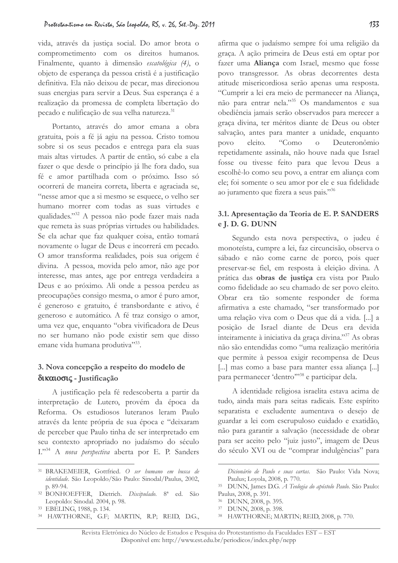vida, através da justiça social. Do amor brota o comprometimento com os direitos humanos. Finalmente, quanto à dimensão escatológica (4), o objeto de esperança da pessoa cristã é a justificação definitiva. Ela não deixou de pecar, mas direcionou suas energias para servir a Deus. Sua esperança é a realização da promessa de completa libertação do pecado e nulificação de sua velha natureza.<sup>31</sup>

Portanto, através do amor emana a obra gratuita, pois a fé já agiu na pessoa. Cristo tomou sobre si os seus pecados e entrega para ela suas mais altas virtudes. A partir de então, só cabe a ela fazer o que desde o princípio já lhe fora dado, sua fé e amor partilhada com o próximo. Isso só ocorrerá de maneira correta, liberta e agraciada se, "nesse amor que a si mesmo se esquece, o velho ser humano morrer com todas as suas virtudes e qualidades."<sup>32</sup> A pessoa não pode fazer mais nada que remeta às suas próprias virtudes ou habilidades. Se ela achar que faz qualquer coisa, então tomará novamente o lugar de Deus e incorrerá em pecado. O amor transforma realidades, pois sua origem é divina. A pessoa, movida pelo amor, não age por interesse, mas antes, age por entrega verdadeira a Deus e ao próximo. Ali onde a pessoa perdeu as preocupações consigo mesma, o amor é puro amor, é generoso e gratuito, é transbordante e ativo, é generoso e automático. A fé traz consigo o amor, uma vez que, enquanto "obra vivificadora de Deus no ser humano não pode existir sem que disso emane vida humana produtiva"33.

# 3. Nova concepção a respeito do modelo de δικαιοσις - Justificação

A justificação pela fé redescoberta a partir da interpretação de Lutero, provém da época da Reforma. Os estudiosos luteranos leram Paulo através da lente própria de sua época e "deixaram de perceber que Paulo tinha de ser interpretado em seu contexto apropriado no judaísmo do século I."<sup>34</sup> A nova perspectiva aberta por E. P. Sanders

<sup>34</sup> HAWTHORNE, G.F; MARTIN, R.P; REID, D.G.,

afirma que o judaísmo sempre foi uma religião da graça. A ação primeira de Deus está em optar por fazer uma Aliança com Israel, mesmo que fosse povo transgressor. As obras decorrentes desta atitude misericordiosa serão apenas uma resposta. "Cumprir a lei era meio de permanecer na Aliança, não para entrar nela."<sup>35</sup> Os mandamentos e sua obediência jamais serão observados para merecer a graça divina, ter méritos diante de Deus ou obter salvação, antes para manter a unidade, enquanto Deuteronômio povo eleito. "Como  $\overline{O}$ repetidamente assinala, não houve nada que Israel fosse ou tivesse feito para que levou Deus a escolhê-lo como seu povo, a entrar em aliança com ele; foi somente o seu amor por ele e sua fidelidade ao juramento que fizera a seus pais."36

# 3.1. Apresentação da Teoria de E. P. SANDERS e J. D. G. DUNN

Segundo esta nova perspectiva, o judeu é monoteísta, cumpre a lei, faz circuncisão, observa o sábado e não come carne de porco, pois quer preservar-se fiel, em resposta à eleição divina. A prática das obras de justiça era vista por Paulo como fidelidade ao seu chamado de ser povo eleito. Obrar era tão somente responder de forma afirmativa a este chamado, "ser transformado por uma relação viva com o Deus que dá a vida. [...] a posição de Israel diante de Deus era devida inteiramente à iniciativa da graça divina."<sup>37</sup> As obras não são entendidas como "uma realização meritória que permite à pessoa exigir recompensa de Deus [...] mas como a base para manter essa aliança [...] para permanecer 'dentro"<sup>38</sup> e participar dela.

A identidade religiosa israelita estava acima de tudo, ainda mais para seitas radicais. Este espírito separatista e excludente aumentava o desejo de guardar a lei com escrupuloso cuidado e exatidão, não para garantir a salvação (necessidade de obrar para ser aceito pelo "juiz justo", imagem de Deus do século XVI ou de "comprar indulgências" para

<sup>&</sup>lt;sup>31</sup> BRAKEMEIER, Gottfried. O ser humano em busca de identidade. São Leopoldo/São Paulo: Sinodal/Paulus, 2002, p. 89-94.

<sup>&</sup>lt;sup>32</sup> BONHOEFFER, Dietrich. Discipulado. 8<sup>ª</sup> ed. São Leopoldo: Sinodal. 2004, p. 98.

<sup>&</sup>lt;sup>33</sup> EBELING, 1988, p. 134.

Dicionário de Paulo e suas cartas. São Paulo: Vida Nova; Paulus; Loyola, 2008, p. 770.

<sup>&</sup>lt;sup>35</sup> DUNN, James D.G. *A Teologia do apóstolo Paulo*. São Paulo: Paulus, 2008, p. 391.

<sup>&</sup>lt;sup>36</sup> DUNN, 2008, p. 395.

<sup>&</sup>lt;sup>37</sup> DUNN, 2008, p. 398.

<sup>&</sup>lt;sup>38</sup> HAWTHORNE; MARTIN; REID, 2008, p. 770.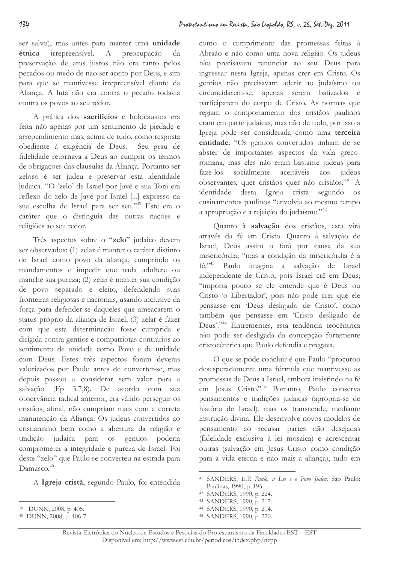ser salvo), mas antes para manter uma unidade étnica irrepreensível.  $A$ preocupação da preservação de atos justos não era tanto pelos pecados ou medo de não ser aceito por Deus, e sim para que se mantivesse irrepreensível diante da Aliança. A luta não era contra o pecado todavia contra os povos ao seu redor.

A prática dos sacrifícios e holocaustos era feita não apenas por um sentimento de piedade e arrependimento mas, acima de tudo, como resposta obediente à exigência de Deus. Seu grau de fidelidade retornava a Deus ao cumprir os termos de obrigações das clausulas da Aliança. Portanto ser zeloso é ser judeu e preservar esta identidade judaica. "O 'zelo' de Israel por Javé e sua Torá era reflexo do zelo de Javé por Israel [...] expresso na sua escolha de Israel para ser seu."<sup>39</sup> Este era o caráter que o distinguia das outras nações e religiões ao seu redor.

Três aspectos sobre o "zelo" judaico devem ser observados: (1) zelar é manter o caráter distinto de Israel como povo da aliança, cumprindo os mandamentos e impedir que nada adultere ou manche sua pureza; (2) zelar é manter sua condição de povo separado e eleito, defendendo suas fronteiras religiosas e nacionais, usando inclusive da força para defender-se daqueles que ameaçarem o status próprio da aliança de Israel; (3) zelar é fazer com que esta determinação fosse cumprida e dirigida contra gentios e compatriotas contrários ao sentimento de unidade como Povo e de unidade com Deus. Estes três aspectos foram deveras valorizados por Paulo antes de converter-se, mas depois passou a considerar sem valor para a salvação (Fp 3.7,8). De acordo com sua observância radical anterior, era válido perseguir os cristãos, afinal, não cumpriam mais com a correta manutenção da Aliança. Os judeus convertidos ao cristianismo bem como a abertura da religião e tradição judaica para **OS** gentios poderia comprometer a integridade e pureza de Israel. Foi deste "zelo" que Paulo se converteu na estrada para  $D$ amasco  $40$ 

A Igreja cristã, segundo Paulo, foi entendida

como o cumprimento das promessas feitas à Abraão e não como uma nova religião. Os judeus não precisavam renunciar ao seu Deus para ingressar nesta Igreja, apenas crer em Cristo. Os gentios não precisavam aderir ao judaísmo ou circuncidarem-se, apenas serem batizados e participarem do corpo de Cristo. As normas que regiam o comportamento dos cristãos paulinos eram em parte judaicas, mas não de todo, por isso a Igreja pode ser considerada como uma terceira entidade. "Os gentios convertidos tinham de se abster de importantes aspectos da vida grecoromana, mas eles não eram bastante judeus para fazê-los socialmente aceitáveis judeus aos observantes, quer cristãos quer não cristãos."<sup>41</sup> A identidade desta Igreja cristã segundo **OS** ensinamentos paulinos "envolvia ao mesmo tempo a apropriação e a rejeição do judaísmo."<sup>42</sup>

Quanto à salvação dos cristãos, esta virá através da fé em Cristo. Quanto à salvação de Israel, Deus assim o fará por causa da sua misericórdia; "mas a condição da misericórdia é a fé."<sup>43</sup> Paulo imagina a salvação de Israel independente de Cristo, pois Israel crê em Deus; "importa pouco se ele entende que é Deus ou Cristo 'o Libertador', pois não pode crer que ele pensasse em 'Deus desligado de Cristo', como também que pensasse em 'Cristo desligado de Deus'."<sup>44</sup> Entrementes, esta tendência teocêntrica não pode ser desligada da concepção fortemente cristocêntrica que Paulo defendia e pregava.

O que se pode concluir é que Paulo "procurou desesperadamente uma fórmula que mantivesse as promessas de Deus a Israel, embora insistindo na fé em Jesus Cristo."<sup>45</sup> Portanto, Paulo conserva pensamentos e tradições judaicas (apropria-se de história de Israel), mas os transcende, mediante instrução divina. Ele desenvolve novos modelos de pensamento ao recusar partes não desejadas (fidelidade exclusiva à lei mosaica) e acrescentar outras (salvação em Jesus Cristo como condição para a vida eterna e não mais a aliança), tudo em

- 43 SANDERS, 1990, p. 217.
- <sup>44</sup> SANDERS, 1990, p. 214.
- <sup>45</sup> SANDERS, 1990, p. 220.

DUNN, 2008, p. 405.

<sup>40</sup> DUNN, 2008, p. 406-7.

<sup>&</sup>lt;sup>41</sup> SANDERS, E.P. Paulo, a Lei e o Povo Judeu. São Paulo: Paulinas, 1990, p. 193.

<sup>42</sup> SANDERS, 1990, p. 224.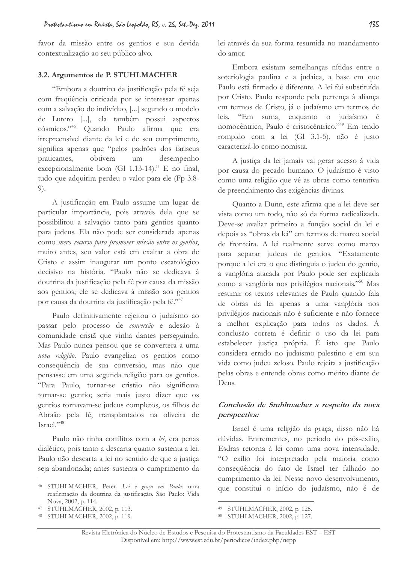favor da missão entre os gentios e sua devida contextualização ao seu público alvo.

### 3.2. Argumentos de P. STUHLMACHER

"Embora a doutrina da justificação pela fé seja com frequência criticada por se interessar apenas com a salvação do indivíduo, [...] segundo o modelo de Lutero [...], ela também possui aspectos cósmicos."46 Quando Paulo afirma que era irrepreensivel diante da lei e de seu cumprimento, significa apenas que "pelos padrões dos fariseus praticantes. obtivera um desempenho excepcionalmente bom (Gl 1.13-14)." E no final, tudo que adquirira perdeu o valor para ele (Fp 3.8- $9).$ 

A justificação em Paulo assume um lugar de particular importância, pois através dela que se possibilitou a salvação tanto para gentios quanto para judeus. Ela não pode ser considerada apenas como mero recurso para promover missão entre os gentios, muito antes, seu valor está em exaltar a obra de Cristo e assim inaugurar um ponto escatológico decisivo na história. "Paulo não se dedicava à doutrina da justificação pela fé por causa da missão aos gentios; ele se dedicava à missão aos gentios por causa da doutrina da justificação pela fé."47

Paulo definitivamente rejeitou o judaísmo ao passar pelo processo de conversão e adesão à comunidade cristã que vinha dantes perseguindo. Mas Paulo nunca pensou que se convertera a uma nova religião. Paulo evangeliza os gentios como consequência de sua conversão, mas não que pensasse em uma segunda religião para os gentios. "Para Paulo, tornar-se cristão não significava tornar-se gentio; seria mais justo dizer que os gentios tornavam-se judeus completos, os filhos de Abraão pela fé, transplantados na oliveira de  $Israel.$ <sup>2,48</sup>

Paulo não tinha conflitos com a lei, era penas dialético, pois tanto a descarta quanto sustenta a lei. Paulo não descarta a lei no sentido de que a justiça seja abandonada; antes sustenta o cumprimento da lei através da sua forma resumida no mandamento do amor.

Embora existam semelhanças nítidas entre a soteriologia paulina e a judaica, a base em que Paulo está firmado é diferente. A lei foi substituída por Cristo. Paulo responde pela pertença à aliança em termos de Cristo, já o judaísmo em termos de "Em suma, enquanto o judaísmo é leis. nomocêntrico, Paulo é cristocêntrico."49 Em tendo rompido com a lei (Gl 3.1-5), não é justo caracterizá-lo como nomista.

A justiça da lei jamais vai gerar acesso à vida por causa do pecado humano. O judaísmo é visto como uma religião que vê as obras como tentativa de preenchimento das exigências divinas.

Quanto a Dunn, este afirma que a lei deve ser vista como um todo, não só da forma radicalizada. Deve-se avaliar primeiro a função social da lei e depois as "obras da lei" em termos de marco social de fronteira. A lei realmente serve como marco para separar judeus de gentios. "Exatamente porque a lei era o que distinguia o judeu do gentio, a vanglória atacada por Paulo pode ser explicada como a vanglória nos privilégios nacionais."<sup>50</sup> Mas resumir os textos relevantes de Paulo quando fala de obras da lei apenas a uma vanglória nos privilégios nacionais não é suficiente e não fornece a melhor explicação para todos os dados. A conclusão correta é definir o uso da lei para estabelecer justica própria. É isto que Paulo considera errado no judaísmo palestino e em sua vida como judeu zeloso. Paulo rejeita a justificação pelas obras e entende obras como mérito diante de Deus.

# Conclusão de Stuhlmacher a respeito da nova perspectiva:

Israel é uma religião da graça, disso não há dúvidas. Entrementes, no período do pós-exílio, Esdras retorna à lei como uma nova intensidade. "O exílio foi interpretado pela maioria como consequência do fato de Israel ter falhado no cumprimento da lei. Nesse novo desenvolvimento, que constitui o início do judaísmo, não é de

135

<sup>46</sup> STUHLMACHER, Peter. Lei e graça em Paulo: uma reafirmação da doutrina da justificação. São Paulo: Vida Nova, 2002, p. 114.

<sup>47</sup> STUHLMACHER, 2002, p. 113.

<sup>48</sup> STUHLMACHER, 2002, p. 119.

<sup>49</sup> STUHLMACHER, 2002, p. 125.

<sup>&</sup>lt;sup>50</sup> STUHLMACHER, 2002, p. 127.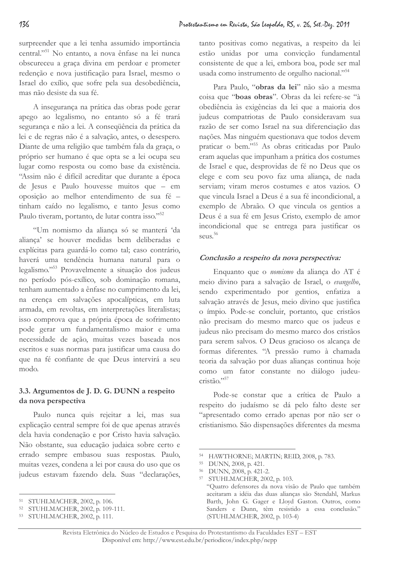surpreender que a lei tenha assumido importância central."<sup>51</sup> No entanto, a nova ênfase na lei nunca obscureceu a graça divina em perdoar e prometer redenção e nova justificação para Israel, mesmo o Israel do exílio, que sofre pela sua desobediência, mas não desiste da sua fé.

A insegurança na prática das obras pode gerar apego ao legalismo, no entanto só a fé trará segurança e não a lei. A consequência da prática da lei e de regras não é a salvação, antes, o desespero. Diante de uma religião que também fala da graça, o próprio ser humano é que opta se a lei ocupa seu lugar como resposta ou como base da existência. "Assim não é difícil acreditar que durante a época de Jesus e Paulo houvesse muitos que - em oposição ao melhor entendimento de sua fé tinham caído no legalismo, e tanto Jesus como Paulo tiveram, portanto, de lutar contra isso."<sup>52</sup>

"Um nomismo da aliança só se manterá 'da alianca' se houver medidas bem deliberadas e explícitas para guardá-lo como tal; caso contrário, haverá uma tendência humana natural para o legalismo."<sup>53</sup> Provavelmente a situação dos judeus no período pós-exílico, sob dominação romana, tenham aumentado a ênfase no cumprimento da lei, na crença em salvações apocalípticas, em luta armada, em revoltas, em interpretações literalistas; isso comprova que a própria época de sofrimento pode gerar um fundamentalismo maior e uma necessidade de ação, muitas vezes baseada nos escritos e suas normas para justificar uma causa do que na fé confiante de que Deus intervirá a seu modo.

# 3.3. Argumentos de J. D. G. DUNN a respeito da nova perspectiva

Paulo nunca quis rejeitar a lei, mas sua explicação central sempre foi de que apenas através dela havia condenação e por Cristo havia salvação. Não obstante, sua educação judaica sobre certo e errado sempre embasou suas respostas. Paulo, muitas vezes, condena a lei por causa do uso que os judeus estavam fazendo dela. Suas "declarações,

tanto positivas como negativas, a respeito da lei estão unidas por uma convicção fundamental consistente de que a lei, embora boa, pode ser mal usada como instrumento de orgulho nacional."<sup>54</sup>

Para Paulo, "obras da lei" não são a mesma coisa que "boas obras". Obras da lei refere-se "à obediência às exigências da lei que a maioria dos judeus compatriotas de Paulo consideravam sua razão de ser como Israel na sua diferenciação das nações. Mas ninguém questionava que todos devem praticar o bem."<sup>55</sup> As obras criticadas por Paulo eram aquelas que impunham a prática dos costumes de Israel e que, desprovidas de fé no Deus que os elege e com seu povo faz uma aliança, de nada serviam; viram meros costumes e atos vazios. O que vincula Israel a Deus é a sua fé incondicional, a exemplo de Abraão. O que vincula os gentios a Deus é a sua fé em Jesus Cristo, exemplo de amor incondicional que se entrega para justificar os seus. $56$ 

### Conclusão a respeito da nova perspectiva:

Enquanto que o nomismo da aliança do AT é meio divino para a salvação de Israel, o evangelho, sendo experimentado por gentios, enfatiza a salvação através de Jesus, meio divino que justifica o ímpio. Pode-se concluir, portanto, que cristãos não precisam do mesmo marco que os judeus e judeus não precisam do mesmo marco dos cristãos para serem salvos. O Deus gracioso os alcança de formas diferentes. "A pressão rumo à chamada teoria da salvação por duas alianças continua hoje como um fator constante no diálogo judeucristão."<sup>57</sup>

Pode-se constar que a crítica de Paulo a respeito do judaísmo se dá pelo falto deste ser "apresentado como errado apenas por não ser o cristianismo. São dispensações diferentes da mesma

<sup>&</sup>lt;sup>51</sup> STUHLMACHER, 2002, p. 106.

<sup>&</sup>lt;sup>52</sup> STUHLMACHER, 2002, p. 109-111.

<sup>53</sup> STUHLMACHER, 2002, p. 111.

<sup>&</sup>lt;sup>54</sup> HAWTHORNE; MARTIN; REID, 2008, p. 783.

<sup>&</sup>lt;sup>55</sup> DUNN, 2008, p. 421.

<sup>&</sup>lt;sup>56</sup> DUNN, 2008, p. 421-2.

<sup>&</sup>lt;sup>57</sup> STUHLMACHER, 2002, p. 103. "Quatro defensores da nova visão de Paulo que também aceitaram a idéia das duas alianças são Stendahl, Markus Barth, John G. Gager e Lloyd Gaston. Outros, como Sanders e Dunn, têm resistido a essa conclusão." (STUHLMACHER, 2002, p. 103-4)